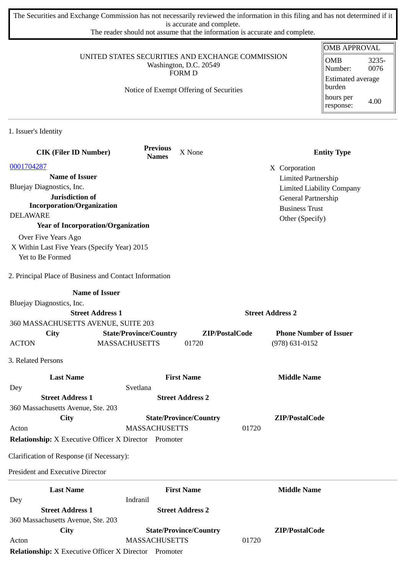The Securities and Exchange Commission has not necessarily reviewed the information in this filing and has not determined if it is accurate and complete.

The reader should not assume that the information is accurate and complete.

| UNITED STATES SECURITIES AND EXCHANGE COMMISSION                                        |                                         |                               |                         |                                                         | <b>OMB APPROVAL</b><br><b>OMB</b><br>3235-  |
|-----------------------------------------------------------------------------------------|-----------------------------------------|-------------------------------|-------------------------|---------------------------------------------------------|---------------------------------------------|
| Washington, D.C. 20549<br><b>FORM D</b>                                                 |                                         |                               |                         |                                                         | 0076<br>Number:<br><b>Estimated average</b> |
|                                                                                         | Notice of Exempt Offering of Securities |                               |                         |                                                         | burden<br>hours per<br>4.00                 |
|                                                                                         |                                         |                               |                         |                                                         | response:                                   |
| 1. Issuer's Identity                                                                    |                                         |                               |                         |                                                         |                                             |
| <b>CIK (Filer ID Number)</b>                                                            | <b>Previous</b><br><b>Names</b>         | X None                        |                         |                                                         | <b>Entity Type</b>                          |
| 0001704287                                                                              |                                         |                               |                         | X Corporation                                           |                                             |
| <b>Name of Issuer</b><br>Bluejay Diagnostics, Inc.                                      |                                         |                               |                         | <b>Limited Partnership</b>                              |                                             |
| Jurisdiction of                                                                         |                                         |                               |                         | <b>Limited Liability Company</b><br>General Partnership |                                             |
| <b>Incorporation/Organization</b>                                                       |                                         |                               |                         | <b>Business Trust</b>                                   |                                             |
| <b>DELAWARE</b><br><b>Year of Incorporation/Organization</b>                            |                                         |                               |                         | Other (Specify)                                         |                                             |
| Over Five Years Ago<br>X Within Last Five Years (Specify Year) 2015<br>Yet to Be Formed |                                         |                               |                         |                                                         |                                             |
| 2. Principal Place of Business and Contact Information                                  |                                         |                               |                         |                                                         |                                             |
| <b>Name of Issuer</b>                                                                   |                                         |                               |                         |                                                         |                                             |
| Bluejay Diagnostics, Inc.<br><b>Street Address 1</b>                                    |                                         |                               | <b>Street Address 2</b> |                                                         |                                             |
| 360 MASSACHUSETTS AVENUE, SUITE 203                                                     |                                         |                               |                         |                                                         |                                             |
| City                                                                                    | <b>State/Province/Country</b>           |                               | ZIP/PostalCode          | <b>Phone Number of Issuer</b>                           |                                             |
| <b>ACTON</b>                                                                            | <b>MASSACHUSETTS</b>                    | 01720                         |                         | $(978) 631 - 0152$                                      |                                             |
| 3. Related Persons                                                                      |                                         |                               |                         |                                                         |                                             |
| <b>Last Name</b>                                                                        |                                         | <b>First Name</b>             |                         | <b>Middle Name</b>                                      |                                             |
| Dey<br><b>Street Address 1</b>                                                          | Svetlana                                | <b>Street Address 2</b>       |                         |                                                         |                                             |
| 360 Massachusetts Avenue, Ste. 203                                                      |                                         |                               |                         |                                                         |                                             |
| City                                                                                    |                                         | <b>State/Province/Country</b> |                         | ZIP/PostalCode                                          |                                             |
| Acton                                                                                   | <b>MASSACHUSETTS</b>                    |                               | 01720                   |                                                         |                                             |
| <b>Relationship:</b> X Executive Officer X Director Promoter                            |                                         |                               |                         |                                                         |                                             |
| Clarification of Response (if Necessary):                                               |                                         |                               |                         |                                                         |                                             |
| <b>President and Executive Director</b>                                                 |                                         |                               |                         |                                                         |                                             |
| <b>Last Name</b>                                                                        |                                         | <b>First Name</b>             |                         | <b>Middle Name</b>                                      |                                             |
| Dey<br><b>Street Address 1</b>                                                          | Indranil                                | <b>Street Address 2</b>       |                         |                                                         |                                             |
| 360 Massachusetts Avenue, Ste. 203                                                      |                                         |                               |                         |                                                         |                                             |
| <b>City</b>                                                                             |                                         | <b>State/Province/Country</b> |                         | ZIP/PostalCode                                          |                                             |
| Acton                                                                                   | <b>MASSACHUSETTS</b>                    |                               | 01720                   |                                                         |                                             |

**Relationship:** X Executive Officer X Director Promoter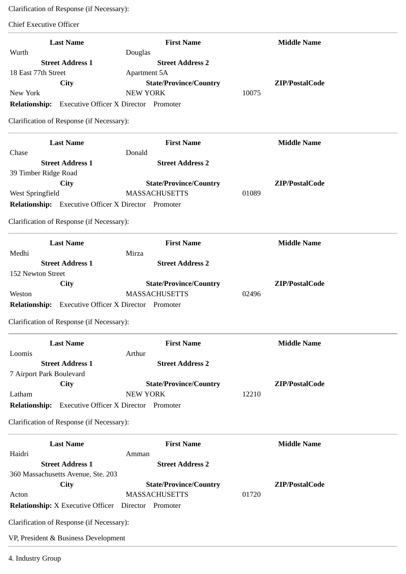Clarification of Response (if Necessary):

Chief Executive Officer

| <b>Last Name</b><br>Wurth                                                                                                                                                                                                         | <b>First Name</b><br>Douglas                                                                | <b>Middle Name</b>      |
|-----------------------------------------------------------------------------------------------------------------------------------------------------------------------------------------------------------------------------------|---------------------------------------------------------------------------------------------|-------------------------|
| <b>Street Address 1</b><br>18 East 77th Street<br><b>City</b><br>New York<br><b>Relationship:</b> Executive Officer X Director Promoter<br>Clarification of Response (if Necessary):                                              | <b>Street Address 2</b><br>Apartment 5A<br><b>State/Province/Country</b><br><b>NEW YORK</b> | ZIP/PostalCode<br>10075 |
| <b>Last Name</b><br>Chase                                                                                                                                                                                                         | <b>First Name</b><br>Donald                                                                 | <b>Middle Name</b>      |
| <b>Street Address 1</b><br>39 Timber Ridge Road<br><b>City</b><br>West Springfield<br><b>Relationship:</b> Executive Officer X Director Promoter<br>Clarification of Response (if Necessary):                                     | <b>Street Address 2</b><br><b>State/Province/Country</b><br><b>MASSACHUSETTS</b>            | ZIP/PostalCode<br>01089 |
| <b>Last Name</b>                                                                                                                                                                                                                  | <b>First Name</b>                                                                           | <b>Middle Name</b>      |
| Medhi<br><b>Street Address 1</b><br>152 Newton Street<br>City<br>Weston<br>Relationship: Executive Officer X Director Promoter<br>Clarification of Response (if Necessary):                                                       | Mirza<br><b>Street Address 2</b><br><b>State/Province/Country</b><br><b>MASSACHUSETTS</b>   | ZIP/PostalCode<br>02496 |
| <b>Last Name</b>                                                                                                                                                                                                                  | <b>First Name</b>                                                                           | <b>Middle Name</b>      |
| Loomis<br><b>Street Address 1</b><br>7 Airport Park Boulevard<br><b>City</b><br>Latham<br><b>Relationship:</b> Executive Officer X Director Promoter<br>Clarification of Response (if Necessary):                                 | Arthur<br><b>Street Address 2</b><br><b>State/Province/Country</b><br><b>NEW YORK</b>       | ZIP/PostalCode<br>12210 |
| <b>Last Name</b><br>Haidri                                                                                                                                                                                                        | <b>First Name</b><br>Amman                                                                  | <b>Middle Name</b>      |
| <b>Street Address 1</b><br>360 Massachusetts Avenue, Ste. 203<br>City<br>Acton<br><b>Relationship:</b> X Executive Officer Director Promoter<br>Clarification of Response (if Necessary):<br>VP, President & Business Development | <b>Street Address 2</b><br><b>State/Province/Country</b><br><b>MASSACHUSETTS</b>            | ZIP/PostalCode<br>01720 |
| 4. Industry Group                                                                                                                                                                                                                 |                                                                                             |                         |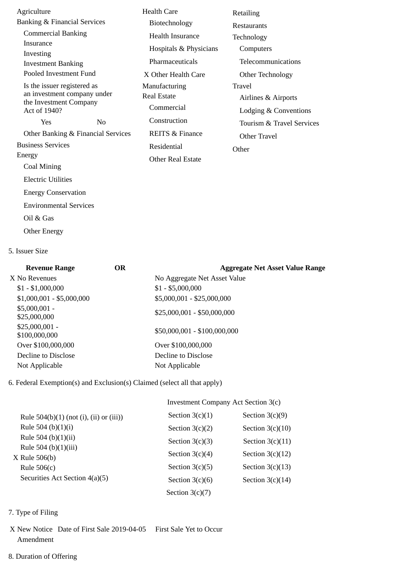| Agriculture<br>Banking & Financial Services                                                                |                | <b>Health Care</b>                                                                                    | Retailing                                                                               |  |
|------------------------------------------------------------------------------------------------------------|----------------|-------------------------------------------------------------------------------------------------------|-----------------------------------------------------------------------------------------|--|
| <b>Commercial Banking</b><br>Insurance<br>Investing<br><b>Investment Banking</b><br>Pooled Investment Fund |                | Biotechnology<br>Health Insurance<br>Hospitals & Physicians<br>Pharmaceuticals<br>X Other Health Care | <b>Restaurants</b><br>Technology<br>Computers<br>Telecommunications<br>Other Technology |  |
| Is the issuer registered as<br>an investment company under<br>the Investment Company<br>Act of 1940?       |                | Manufacturing<br><b>Real Estate</b><br>Commercial                                                     | <b>Travel</b><br>Airlines & Airports<br>Lodging & Conventions                           |  |
| Yes                                                                                                        | N <sub>0</sub> | Construction                                                                                          | Tourism & Travel Services                                                               |  |
| Other Banking & Financial Services                                                                         |                | <b>REITS &amp; Finance</b>                                                                            | Other Travel                                                                            |  |
| <b>Business Services</b>                                                                                   |                | Residential                                                                                           | Other                                                                                   |  |
| Energy<br>Coal Mining                                                                                      |                | <b>Other Real Estate</b>                                                                              |                                                                                         |  |
| <b>Electric Utilities</b>                                                                                  |                |                                                                                                       |                                                                                         |  |
| <b>Energy Conservation</b>                                                                                 |                |                                                                                                       |                                                                                         |  |
| <b>Environmental Services</b>                                                                              |                |                                                                                                       |                                                                                         |  |
| Oil & Gas                                                                                                  |                |                                                                                                       |                                                                                         |  |
|                                                                                                            |                |                                                                                                       |                                                                                         |  |

Other Energy

## 5. Issuer Size

| <b>Revenue Range</b>             | <b>OR</b> | <b>Aggregate Net Asset Value Range</b> |
|----------------------------------|-----------|----------------------------------------|
| X No Revenues                    |           | No Aggregate Net Asset Value           |
| $$1 - $1,000,000$                |           | $$1 - $5,000,000$                      |
| $$1,000,001 - $5,000,000$        |           | \$5,000,001 - \$25,000,000             |
| $$5,000,001 -$<br>\$25,000,000   |           | $$25,000,001 - $50,000,000$            |
| $$25,000,001 -$<br>\$100,000,000 |           | \$50,000,001 - \$100,000,000           |
| Over \$100,000,000               |           | Over \$100,000,000                     |
| Decline to Disclose              |           | Decline to Disclose                    |
| Not Applicable                   |           | Not Applicable                         |

6. Federal Exemption(s) and Exclusion(s) Claimed (select all that apply)

|                                           | Investment Company Act Section 3(c) |                    |  |
|-------------------------------------------|-------------------------------------|--------------------|--|
| Rule $504(b)(1)$ (not (i), (ii) or (iii)) | Section $3(c)(1)$                   | Section $3(c)(9)$  |  |
| Rule 504 (b) $(1)(i)$                     | Section $3(c)(2)$                   | Section $3(c)(10)$ |  |
| Rule 504 (b) $(1)(ii)$                    | Section $3(c)(3)$                   | Section $3(c)(11)$ |  |
| Rule 504 (b) $(1)(iii)$<br>X Rule 506(b)  | Section $3(c)(4)$                   | Section $3(c)(12)$ |  |
| Rule $506(c)$                             | Section $3(c)(5)$                   | Section $3(c)(13)$ |  |
| Securities Act Section 4(a)(5)            | Section $3(c)(6)$                   | Section $3(c)(14)$ |  |
|                                           | Section $3(c)(7)$                   |                    |  |

- 7. Type of Filing
- X New Notice Date of First Sale 2019-04-05 First Sale Yet to Occur Amendment
- 8. Duration of Offering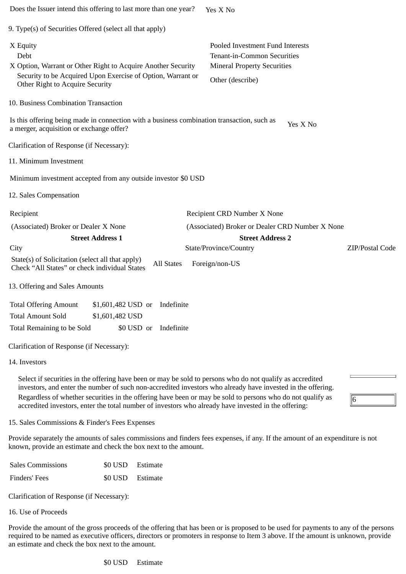| Does the Issuer intend this offering to last more than one year?                                                                                                                   |                         |                                                                                                                                  | Yes X No                                                                                                                                                                                                                                                                                                                                                                                                                                       |                 |
|------------------------------------------------------------------------------------------------------------------------------------------------------------------------------------|-------------------------|----------------------------------------------------------------------------------------------------------------------------------|------------------------------------------------------------------------------------------------------------------------------------------------------------------------------------------------------------------------------------------------------------------------------------------------------------------------------------------------------------------------------------------------------------------------------------------------|-----------------|
| 9. Type(s) of Securities Offered (select all that apply)                                                                                                                           |                         |                                                                                                                                  |                                                                                                                                                                                                                                                                                                                                                                                                                                                |                 |
| X Equity<br>Debt<br>X Option, Warrant or Other Right to Acquire Another Security<br>Security to be Acquired Upon Exercise of Option, Warrant or<br>Other Right to Acquire Security |                         | Pooled Investment Fund Interests<br><b>Tenant-in-Common Securities</b><br><b>Mineral Property Securities</b><br>Other (describe) |                                                                                                                                                                                                                                                                                                                                                                                                                                                |                 |
| 10. Business Combination Transaction                                                                                                                                               |                         |                                                                                                                                  |                                                                                                                                                                                                                                                                                                                                                                                                                                                |                 |
| Is this offering being made in connection with a business combination transaction, such as<br>a merger, acquisition or exchange offer?                                             |                         |                                                                                                                                  | Yes X No                                                                                                                                                                                                                                                                                                                                                                                                                                       |                 |
| Clarification of Response (if Necessary):                                                                                                                                          |                         |                                                                                                                                  |                                                                                                                                                                                                                                                                                                                                                                                                                                                |                 |
| 11. Minimum Investment                                                                                                                                                             |                         |                                                                                                                                  |                                                                                                                                                                                                                                                                                                                                                                                                                                                |                 |
| Minimum investment accepted from any outside investor \$0 USD                                                                                                                      |                         |                                                                                                                                  |                                                                                                                                                                                                                                                                                                                                                                                                                                                |                 |
| 12. Sales Compensation                                                                                                                                                             |                         |                                                                                                                                  |                                                                                                                                                                                                                                                                                                                                                                                                                                                |                 |
| Recipient                                                                                                                                                                          |                         |                                                                                                                                  | Recipient CRD Number X None                                                                                                                                                                                                                                                                                                                                                                                                                    |                 |
| (Associated) Broker or Dealer X None                                                                                                                                               |                         |                                                                                                                                  | (Associated) Broker or Dealer CRD Number X None                                                                                                                                                                                                                                                                                                                                                                                                |                 |
|                                                                                                                                                                                    | <b>Street Address 1</b> |                                                                                                                                  | <b>Street Address 2</b>                                                                                                                                                                                                                                                                                                                                                                                                                        |                 |
| City                                                                                                                                                                               |                         |                                                                                                                                  | State/Province/Country                                                                                                                                                                                                                                                                                                                                                                                                                         | ZIP/Postal Code |
| State(s) of Solicitation (select all that apply)<br>Check "All States" or check individual States                                                                                  |                         | <b>All States</b>                                                                                                                | Foreign/non-US                                                                                                                                                                                                                                                                                                                                                                                                                                 |                 |
| 13. Offering and Sales Amounts                                                                                                                                                     |                         |                                                                                                                                  |                                                                                                                                                                                                                                                                                                                                                                                                                                                |                 |
| <b>Total Offering Amount</b>                                                                                                                                                       |                         | \$1,601,482 USD or Indefinite                                                                                                    |                                                                                                                                                                                                                                                                                                                                                                                                                                                |                 |
| <b>Total Amount Sold</b>                                                                                                                                                           | \$1,601,482 USD         |                                                                                                                                  |                                                                                                                                                                                                                                                                                                                                                                                                                                                |                 |
| Total Remaining to be Sold                                                                                                                                                         |                         | \$0 USD or<br>Indefinite                                                                                                         |                                                                                                                                                                                                                                                                                                                                                                                                                                                |                 |
| Clarification of Response (if Necessary):                                                                                                                                          |                         |                                                                                                                                  |                                                                                                                                                                                                                                                                                                                                                                                                                                                |                 |
| 14. Investors                                                                                                                                                                      |                         |                                                                                                                                  |                                                                                                                                                                                                                                                                                                                                                                                                                                                |                 |
|                                                                                                                                                                                    |                         |                                                                                                                                  | Select if securities in the offering have been or may be sold to persons who do not qualify as accredited<br>investors, and enter the number of such non-accredited investors who already have invested in the offering.<br>Regardless of whether securities in the offering have been or may be sold to persons who do not qualify as<br>accredited investors, enter the total number of investors who already have invested in the offering: | 16              |
| 15. Sales Commissions & Finder's Fees Expenses                                                                                                                                     |                         |                                                                                                                                  |                                                                                                                                                                                                                                                                                                                                                                                                                                                |                 |
| known, provide an estimate and check the box next to the amount.                                                                                                                   |                         |                                                                                                                                  | Provide separately the amounts of sales commissions and finders fees expenses, if any. If the amount of an expenditure is not                                                                                                                                                                                                                                                                                                                  |                 |
| <b>Sales Commissions</b>                                                                                                                                                           | \$0 USD                 | Estimate                                                                                                                         |                                                                                                                                                                                                                                                                                                                                                                                                                                                |                 |
| Finders' Fees                                                                                                                                                                      | \$0 USD                 | Estimate                                                                                                                         |                                                                                                                                                                                                                                                                                                                                                                                                                                                |                 |

Clarification of Response (if Necessary):

16. Use of Proceeds

Provide the amount of the gross proceeds of the offering that has been or is proposed to be used for payments to any of the persons required to be named as executive officers, directors or promoters in response to Item 3 above. If the amount is unknown, provide an estimate and check the box next to the amount.